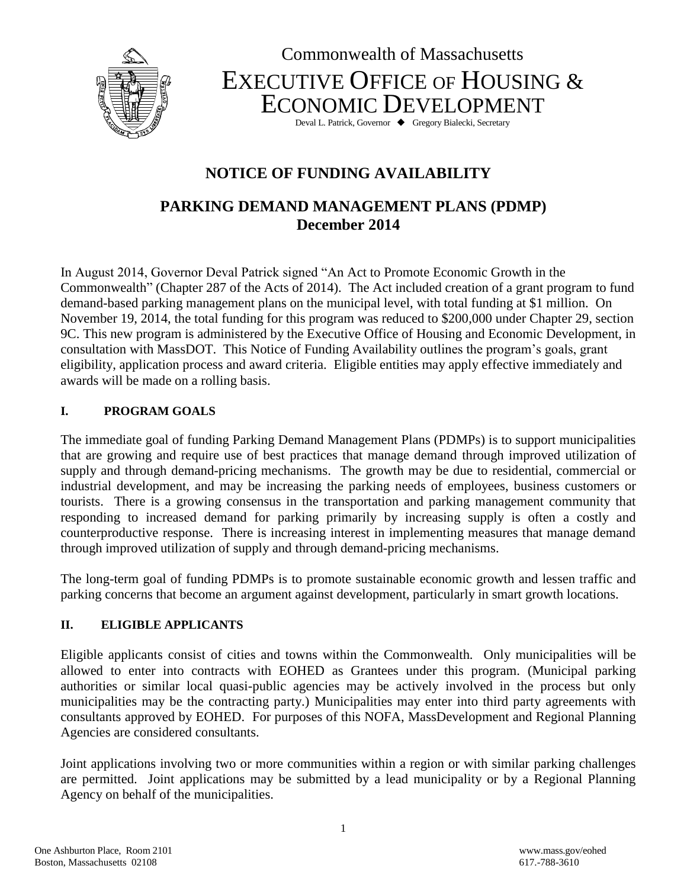



Deval L. Patrick, Governor  $\blacklozenge$  Gregory Bialecki, Secretary

# **NOTICE OF FUNDING AVAILABILITY**

# **PARKING DEMAND MANAGEMENT PLANS (PDMP) December 2014**

In August 2014, Governor Deval Patrick signed "An Act to Promote Economic Growth in the Commonwealth" (Chapter 287 of the Acts of 2014). The Act included creation of a grant program to fund demand-based parking management plans on the municipal level, with total funding at \$1 million. On November 19, 2014, the total funding for this program was reduced to \$200,000 under Chapter 29, section 9C. This new program is administered by the Executive Office of Housing and Economic Development, in consultation with MassDOT. This Notice of Funding Availability outlines the program's goals, grant eligibility, application process and award criteria. Eligible entities may apply effective immediately and awards will be made on a rolling basis.

#### **I. PROGRAM GOALS**

The immediate goal of funding Parking Demand Management Plans (PDMPs) is to support municipalities that are growing and require use of best practices that manage demand through improved utilization of supply and through demand-pricing mechanisms. The growth may be due to residential, commercial or industrial development, and may be increasing the parking needs of employees, business customers or tourists. There is a growing consensus in the transportation and parking management community that responding to increased demand for parking primarily by increasing supply is often a costly and counterproductive response. There is increasing interest in implementing measures that manage demand through improved utilization of supply and through demand-pricing mechanisms.

The long-term goal of funding PDMPs is to promote sustainable economic growth and lessen traffic and parking concerns that become an argument against development, particularly in smart growth locations.

#### **II. ELIGIBLE APPLICANTS**

Eligible applicants consist of cities and towns within the Commonwealth. Only municipalities will be allowed to enter into contracts with EOHED as Grantees under this program. (Municipal parking authorities or similar local quasi-public agencies may be actively involved in the process but only municipalities may be the contracting party.) Municipalities may enter into third party agreements with consultants approved by EOHED. For purposes of this NOFA, MassDevelopment and Regional Planning Agencies are considered consultants.

Joint applications involving two or more communities within a region or with similar parking challenges are permitted. Joint applications may be submitted by a lead municipality or by a Regional Planning Agency on behalf of the municipalities.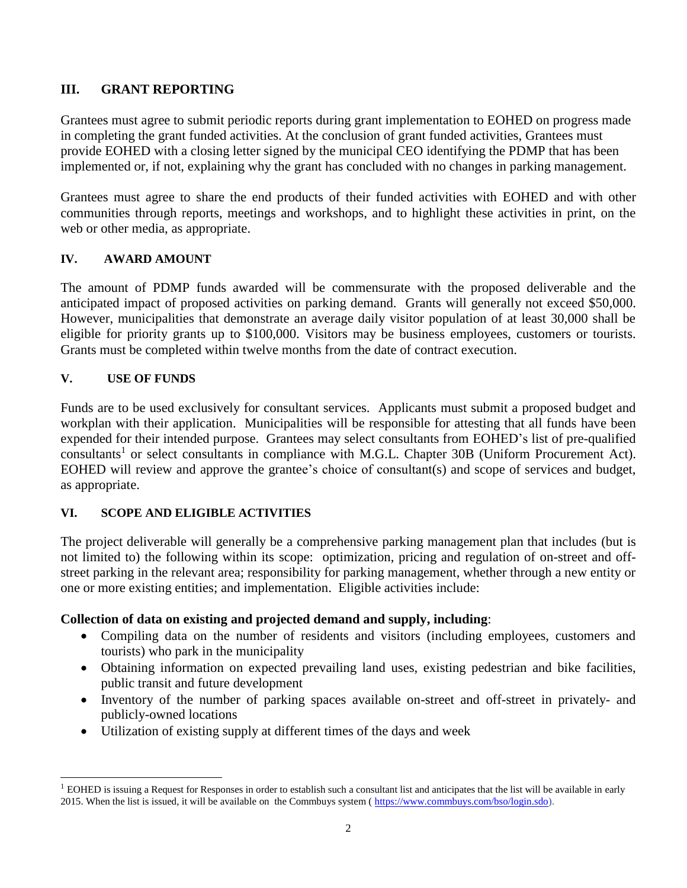### **III. GRANT REPORTING**

Grantees must agree to submit periodic reports during grant implementation to EOHED on progress made in completing the grant funded activities. At the conclusion of grant funded activities, Grantees must provide EOHED with a closing letter signed by the municipal CEO identifying the PDMP that has been implemented or, if not, explaining why the grant has concluded with no changes in parking management.

Grantees must agree to share the end products of their funded activities with EOHED and with other communities through reports, meetings and workshops, and to highlight these activities in print, on the web or other media, as appropriate.

#### **IV. AWARD AMOUNT**

The amount of PDMP funds awarded will be commensurate with the proposed deliverable and the anticipated impact of proposed activities on parking demand. Grants will generally not exceed \$50,000. However, municipalities that demonstrate an average daily visitor population of at least 30,000 shall be eligible for priority grants up to \$100,000. Visitors may be business employees, customers or tourists. Grants must be completed within twelve months from the date of contract execution.

#### **V. USE OF FUNDS**

 $\overline{\phantom{a}}$ 

Funds are to be used exclusively for consultant services. Applicants must submit a proposed budget and workplan with their application. Municipalities will be responsible for attesting that all funds have been expended for their intended purpose. Grantees may select consultants from EOHED's list of pre-qualified consultants<sup>1</sup> or select consultants in compliance with M.G.L. Chapter 30B (Uniform Procurement Act). EOHED will review and approve the grantee's choice of consultant(s) and scope of services and budget, as appropriate.

#### **VI. SCOPE AND ELIGIBLE ACTIVITIES**

The project deliverable will generally be a comprehensive parking management plan that includes (but is not limited to) the following within its scope: optimization, pricing and regulation of on-street and offstreet parking in the relevant area; responsibility for parking management, whether through a new entity or one or more existing entities; and implementation. Eligible activities include:

#### **Collection of data on existing and projected demand and supply, including**:

- Compiling data on the number of residents and visitors (including employees, customers and tourists) who park in the municipality
- Obtaining information on expected prevailing land uses, existing pedestrian and bike facilities, public transit and future development
- Inventory of the number of parking spaces available on-street and off-street in privately- and publicly-owned locations
- Utilization of existing supply at different times of the days and week

 $<sup>1</sup>$  EOHED is issuing a Request for Responses in order to establish such a consultant list and anticipates that the list will be available in early</sup> 2015. When the list is issued, it will be available on the Commbuys system ( [https://www.commbuys.com/bso/login.sdo\)](https://www.commbuys.com/bso/login.sdo).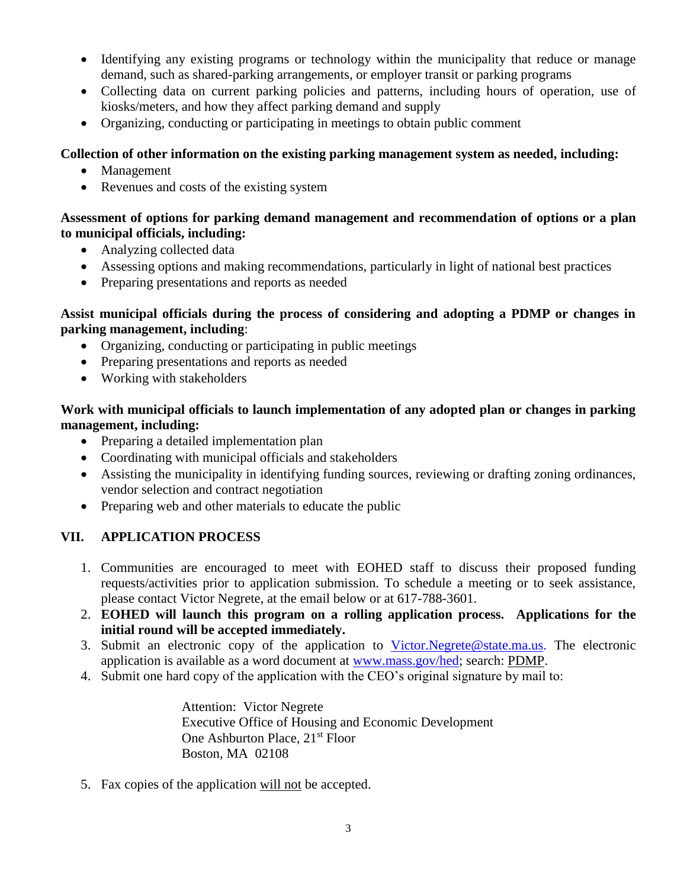- Identifying any existing programs or technology within the municipality that reduce or manage demand, such as shared-parking arrangements, or employer transit or parking programs
- Collecting data on current parking policies and patterns, including hours of operation, use of kiosks/meters, and how they affect parking demand and supply
- Organizing, conducting or participating in meetings to obtain public comment

#### **Collection of other information on the existing parking management system as needed, including:**

- Management
- Revenues and costs of the existing system

#### **Assessment of options for parking demand management and recommendation of options or a plan to municipal officials, including:**

- Analyzing collected data
- Assessing options and making recommendations, particularly in light of national best practices
- Preparing presentations and reports as needed

#### **Assist municipal officials during the process of considering and adopting a PDMP or changes in parking management, including**:

- Organizing, conducting or participating in public meetings
- Preparing presentations and reports as needed
- Working with stakeholders

### **Work with municipal officials to launch implementation of any adopted plan or changes in parking management, including:**

- Preparing a detailed implementation plan
- Coordinating with municipal officials and stakeholders
- Assisting the municipality in identifying funding sources, reviewing or drafting zoning ordinances, vendor selection and contract negotiation
- Preparing web and other materials to educate the public

## **VII. APPLICATION PROCESS**

- 1. Communities are encouraged to meet with EOHED staff to discuss their proposed funding requests/activities prior to application submission. To schedule a meeting or to seek assistance, please contact Victor Negrete, at the email below or at 617-788-3601.
- 2. **EOHED will launch this program on a rolling application process. Applications for the initial round will be accepted immediately.**
- 3. Submit an electronic copy of the application to [Victor.Negrete@state.ma.us.](mailto:Victor.Negrete@state.ma.us) The electronic application is available as a word document at [www.mass.gov/hed;](http://www.mass.gov/hed) search: PDMP.
- 4. Submit one hard copy of the application with the CEO's original signature by mail to:

Attention: Victor Negrete Executive Office of Housing and Economic Development One Ashburton Place, 21<sup>st</sup> Floor Boston, MA 02108

5. Fax copies of the application will not be accepted.